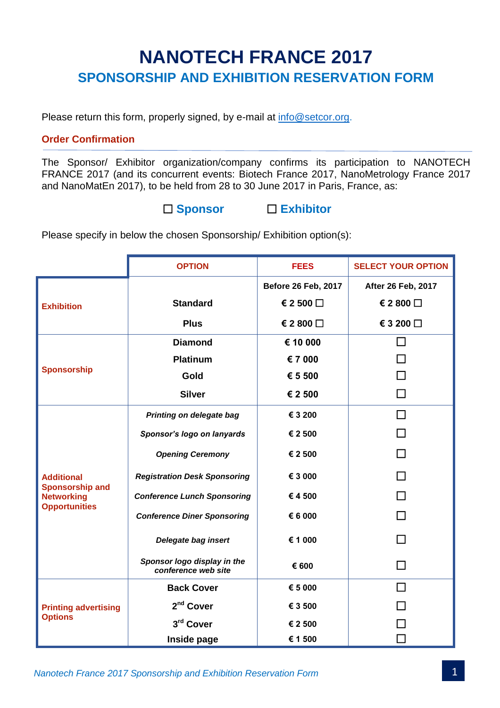# **NANOTECH FRANCE 2017 SPONSORSHIP AND EXHIBITION RESERVATION FORM**

Please return this form, properly signed, by e-mail at [info@setcor.org.](mailto:info@setcor.org)

## **Order Confirmation**

The Sponsor/ Exhibitor organization/company confirms its participation to NANOTECH FRANCE 2017 (and its concurrent events: Biotech France 2017, NanoMetrology France 2017 and NanoMatEn 2017), to be held from 28 to 30 June 2017 in Paris, France, as:

## **Sponsor Exhibitor**

Please specify in below the chosen Sponsorship/ Exhibition option(s):

|                                                                                          | <b>OPTION</b>                                      | <b>FEES</b>                | <b>SELECT YOUR OPTION</b> |
|------------------------------------------------------------------------------------------|----------------------------------------------------|----------------------------|---------------------------|
| <b>Exhibition</b>                                                                        |                                                    | <b>Before 26 Feb, 2017</b> | <b>After 26 Feb, 2017</b> |
|                                                                                          | <b>Standard</b>                                    | € 2 500 $\Box$             | € 2 800 □                 |
|                                                                                          | <b>Plus</b>                                        | € 2 800 $\Box$             | € 3 200 $\Box$            |
| <b>Sponsorship</b>                                                                       | <b>Diamond</b>                                     | € 10 000                   |                           |
|                                                                                          | Platinum                                           | € 7 000                    |                           |
|                                                                                          | Gold                                               | € 5 500                    |                           |
|                                                                                          | <b>Silver</b>                                      | € 2 500                    |                           |
| <b>Additional</b><br><b>Sponsorship and</b><br><b>Networking</b><br><b>Opportunities</b> | Printing on delegate bag                           | € 3 200                    | $\Box$                    |
|                                                                                          | Sponsor's logo on lanyards                         | € 2 500                    |                           |
|                                                                                          | <b>Opening Ceremony</b>                            | € 2 500                    |                           |
|                                                                                          | <b>Registration Desk Sponsoring</b>                | € 3 000                    |                           |
|                                                                                          | <b>Conference Lunch Sponsoring</b>                 | €4500                      |                           |
|                                                                                          | <b>Conference Diner Sponsoring</b>                 | € 6 000                    |                           |
|                                                                                          | Delegate bag insert                                | € 1 000                    |                           |
|                                                                                          | Sponsor logo display in the<br>conference web site | € 600                      |                           |
| <b>Printing advertising</b><br><b>Options</b>                                            | <b>Back Cover</b>                                  | € 5 000                    | $\blacksquare$            |
|                                                                                          | 2 <sup>nd</sup> Cover                              | € 3 500                    |                           |
|                                                                                          | 3rd Cover                                          | € 2 500                    |                           |
|                                                                                          | Inside page                                        | € 1 500                    |                           |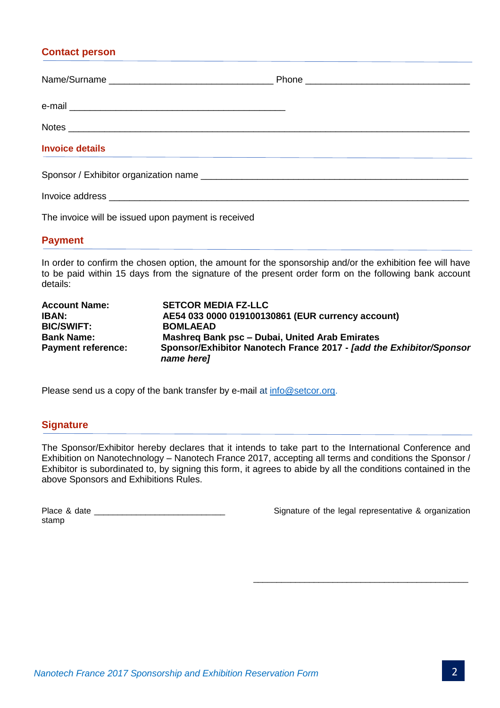## **Contact person**

| <b>Invoice details</b>                                                                                          |  |
|-----------------------------------------------------------------------------------------------------------------|--|
|                                                                                                                 |  |
| Invoice address experience and the set of the set of the set of the set of the set of the set of the set of the |  |

The invoice will be issued upon payment is received

## **Payment**

In order to confirm the chosen option, the amount for the sponsorship and/or the exhibition fee will have to be paid within 15 days from the signature of the present order form on the following bank account details:

| <b>Account Name:</b>      | <b>SETCOR MEDIA FZ-LLC</b>                                                               |  |
|---------------------------|------------------------------------------------------------------------------------------|--|
| <b>IBAN:</b>              | AE54 033 0000 019100130861 (EUR currency account)                                        |  |
| <b>BIC/SWIFT:</b>         | <b>BOMLAEAD</b>                                                                          |  |
| <b>Bank Name:</b>         | Mashreg Bank psc - Dubai, United Arab Emirates                                           |  |
| <b>Payment reference:</b> | Sponsor/Exhibitor Nanotech France 2017 - <i>[add the Exhibitor/Sponsor</i><br>name here] |  |

Please send us a copy of the bank transfer by e-mail at [info@setcor.org.](mailto:info@setcor.org)

## **Signature**

The Sponsor/Exhibitor hereby declares that it intends to take part to the International Conference and Exhibition on Nanotechnology – Nanotech France 2017, accepting all terms and conditions the Sponsor / Exhibitor is subordinated to, by signing this form, it agrees to abide by all the conditions contained in the above Sponsors and Exhibitions Rules.

| Place & date |  |
|--------------|--|
| stamp        |  |

Signature of the legal representative & organization

\_\_\_\_\_\_\_\_\_\_\_\_\_\_\_\_\_\_\_\_\_\_\_\_\_\_\_\_\_\_\_\_\_\_\_\_\_\_\_\_\_\_\_\_\_\_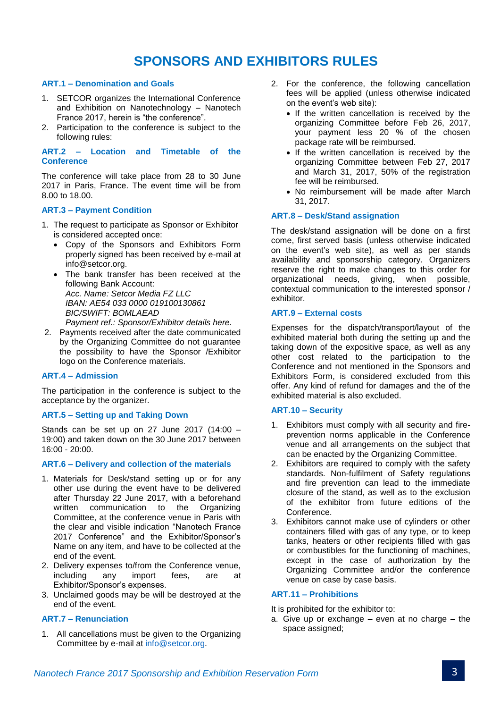## **SPONSORS AND EXHIBITORS RULES**

#### **ART.1 – Denomination and Goals**

- 1. SETCOR organizes the International Conference and Exhibition on Nanotechnology – Nanotech France 2017, herein is "the conference".
- 2. Participation to the conference is subject to the following rules:

**ART.2 – Location and Timetable of the Conference**

The conference will take place from 28 to 30 June 2017 in Paris, France. The event time will be from 8.00 to 18.00.

#### **ART.3 – Payment Condition**

- 1. The request to participate as Sponsor or Exhibitor is considered accepted once:
	- Copy of the Sponsors and Exhibitors Form properly signed has been received by e-mail at info@setcor.org.
	- The bank transfer has been received at the following Bank Account: *Acc. Name: Setcor Media FZ LLC IBAN: AE54 033 0000 019100130861 BIC/SWIFT: BOMLAEAD Payment ref.: Sponsor/Exhibitor details here.*
- 2. Payments received after the date communicated by the Organizing Committee do not guarantee the possibility to have the Sponsor /Exhibitor logo on the Conference materials.

#### **ART.4 – Admission**

The participation in the conference is subject to the acceptance by the organizer.

#### **ART.5 – Setting up and Taking Down**

Stands can be set up on 27 June 2017 (14:00 – 19:00) and taken down on the 30 June 2017 between 16:00 - 20:00.

#### **ART.6 – Delivery and collection of the materials**

- 1. Materials for Desk/stand setting up or for any other use during the event have to be delivered after Thursday 22 June 2017, with a beforehand written communication to the Organizing Committee, at the conference venue in Paris with the clear and visible indication "Nanotech France 2017 Conference" and the Exhibitor/Sponsor's Name on any item, and have to be collected at the end of the event.
- 2. Delivery expenses to/from the Conference venue, including any import fees, are at Exhibitor/Sponsor's expenses.
- 3. Unclaimed goods may be will be destroyed at the end of the event.

#### **ART.7 – Renunciation**

1. All cancellations must be given to the Organizing Committee by e-mail at [info@setcor.org.](mailto:info@setcor.org)

- 2. For the conference, the following cancellation fees will be applied (unless otherwise indicated on the event's web site):
	- If the written cancellation is received by the organizing Committee before Feb 26, 2017, your payment less 20 % of the chosen package rate will be reimbursed.
	- If the written cancellation is received by the organizing Committee between Feb 27, 2017 and March 31, 2017, 50% of the registration fee will be reimbursed.
	- No reimbursement will be made after March 31, 2017.

## **ART.8 – Desk/Stand assignation**

The desk/stand assignation will be done on a first come, first served basis (unless otherwise indicated on the event's web site), as well as per stands availability and sponsorship category. Organizers reserve the right to make changes to this order for organizational needs, giving, when possible, contextual communication to the interested sponsor / exhibitor.

### **ART.9 – External costs**

Expenses for the dispatch/transport/layout of the exhibited material both during the setting up and the taking down of the expositive space, as well as any other cost related to the participation to the Conference and not mentioned in the Sponsors and Exhibitors Form, is considered excluded from this offer. Any kind of refund for damages and the of the exhibited material is also excluded.

#### **ART.10 – Security**

- 1. Exhibitors must comply with all security and fireprevention norms applicable in the Conference venue and all arrangements on the subject that can be enacted by the Organizing Committee.
- 2. Exhibitors are required to comply with the safety standards. Non-fulfilment of Safety regulations and fire prevention can lead to the immediate closure of the stand, as well as to the exclusion of the exhibitor from future editions of the Conference.
- 3. Exhibitors cannot make use of cylinders or other containers filled with gas of any type, or to keep tanks, heaters or other recipients filled with gas or combustibles for the functioning of machines, except in the case of authorization by the Organizing Committee and/or the conference venue on case by case basis.

#### **ART.11 – Prohibitions**

It is prohibited for the exhibitor to:

a. Give up or exchange – even at no charge – the space assigned;